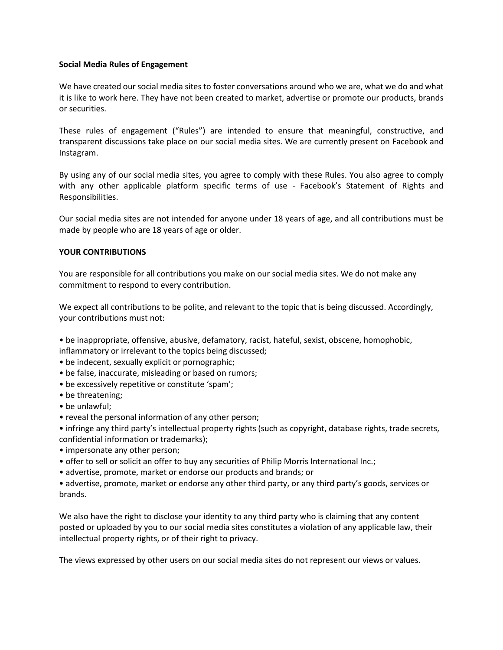### **Social Media Rules of Engagement**

We have created our social media sites to foster conversations around who we are, what we do and what it is like to work here. They have not been created to market, advertise or promote our products, brands or securities.

These rules of engagement ("Rules") are intended to ensure that meaningful, constructive, and transparent discussions take place on our social media sites. We are currently present on Facebook and Instagram.

By using any of our social media sites, you agree to comply with these Rules. You also agree to comply with any other applicable platform specific terms of use - Facebook's Statement of Rights and Responsibilities.

Our social media sites are not intended for anyone under 18 years of age, and all contributions must be made by people who are 18 years of age or older.

### **YOUR CONTRIBUTIONS**

You are responsible for all contributions you make on our social media sites. We do not make any commitment to respond to every contribution.

We expect all contributions to be polite, and relevant to the topic that is being discussed. Accordingly, your contributions must not:

• be inappropriate, offensive, abusive, defamatory, racist, hateful, sexist, obscene, homophobic, inflammatory or irrelevant to the topics being discussed;

- be indecent, sexually explicit or pornographic;
- be false, inaccurate, misleading or based on rumors;
- be excessively repetitive or constitute 'spam';
- be threatening;
- be unlawful;
- reveal the personal information of any other person;

• infringe any third party's intellectual property rights (such as copyright, database rights, trade secrets, confidential information or trademarks);

- impersonate any other person;
- offer to sell or solicit an offer to buy any securities of Philip Morris International Inc.;
- advertise, promote, market or endorse our products and brands; or

• advertise, promote, market or endorse any other third party, or any third party's goods, services or brands.

We also have the right to disclose your identity to any third party who is claiming that any content posted or uploaded by you to our social media sites constitutes a violation of any applicable law, their intellectual property rights, or of their right to privacy.

The views expressed by other users on our social media sites do not represent our views or values.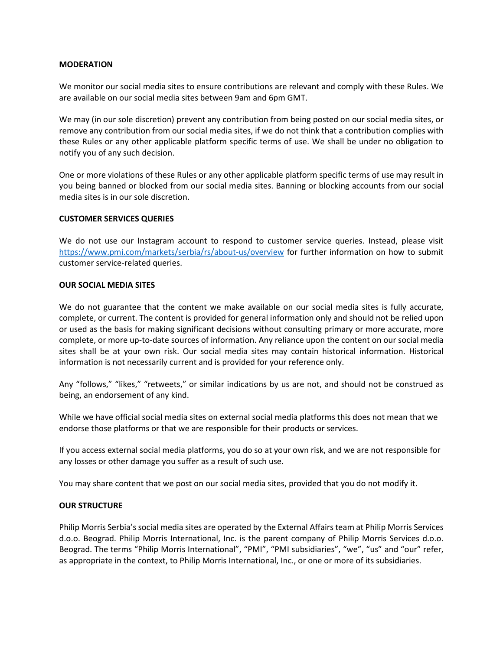### **MODERATION**

We monitor our social media sites to ensure contributions are relevant and comply with these Rules. We are available on our social media sites between 9am and 6pm GMT.

We may (in our sole discretion) prevent any contribution from being posted on our social media sites, or remove any contribution from our social media sites, if we do not think that a contribution complies with these Rules or any other applicable platform specific terms of use. We shall be under no obligation to notify you of any such decision.

One or more violations of these Rules or any other applicable platform specific terms of use may result in you being banned or blocked from our social media sites. Banning or blocking accounts from our social media sites is in our sole discretion.

# **CUSTOMER SERVICES QUERIES**

We do not use our Instagram account to respond to customer service queries. Instead, please visit <https://www.pmi.com/markets/serbia/rs/about-us/overview> for further information on how to submit customer service-related queries.

#### **OUR SOCIAL MEDIA SITES**

We do not guarantee that the content we make available on our social media sites is fully accurate, complete, or current. The content is provided for general information only and should not be relied upon or used as the basis for making significant decisions without consulting primary or more accurate, more complete, or more up-to-date sources of information. Any reliance upon the content on our social media sites shall be at your own risk. Our social media sites may contain historical information. Historical information is not necessarily current and is provided for your reference only.

Any "follows," "likes," "retweets," or similar indications by us are not, and should not be construed as being, an endorsement of any kind.

While we have official social media sites on external social media platforms this does not mean that we endorse those platforms or that we are responsible for their products or services.

If you access external social media platforms, you do so at your own risk, and we are not responsible for any losses or other damage you suffer as a result of such use.

You may share content that we post on our social media sites, provided that you do not modify it.

# **OUR STRUCTURE**

Philip Morris Serbia's social media sites are operated by the External Affairs team at Philip Morris Services d.o.o. Beograd. Philip Morris International, Inc. is the parent company of Philip Morris Services d.o.o. Beograd. The terms "Philip Morris International", "PMI", "PMI subsidiaries", "we", "us" and "our" refer, as appropriate in the context, to Philip Morris International, Inc., or one or more of its subsidiaries.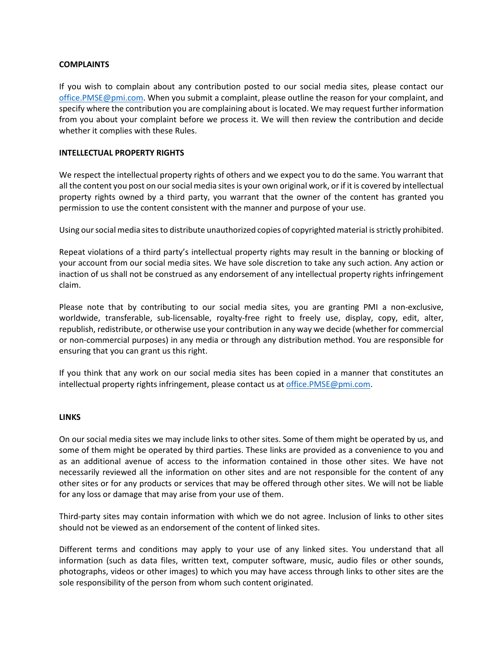### **COMPLAINTS**

If you wish to complain about any contribution posted to our social media sites, please contact our [office.PMSE@pmi.com.](mailto:office.PMSE@pmi.com) When you submit a complaint, please outline the reason for your complaint, and specify where the contribution you are complaining about is located. We may request further information from you about your complaint before we process it. We will then review the contribution and decide whether it complies with these Rules.

### **INTELLECTUAL PROPERTY RIGHTS**

We respect the intellectual property rights of others and we expect you to do the same. You warrant that all the content you post on our social media sites is your own original work, or if it is covered by intellectual property rights owned by a third party, you warrant that the owner of the content has granted you permission to use the content consistent with the manner and purpose of your use.

Using our social media sites to distribute unauthorized copies of copyrighted material is strictly prohibited.

Repeat violations of a third party's intellectual property rights may result in the banning or blocking of your account from our social media sites. We have sole discretion to take any such action. Any action or inaction of us shall not be construed as any endorsement of any intellectual property rights infringement claim.

Please note that by contributing to our social media sites, you are granting PMI a non-exclusive, worldwide, transferable, sub-licensable, royalty-free right to freely use, display, copy, edit, alter, republish, redistribute, or otherwise use your contribution in any way we decide (whether for commercial or non-commercial purposes) in any media or through any distribution method. You are responsible for ensuring that you can grant us this right.

If you think that any work on our social media sites has been copied in a manner that constitutes an intellectual property rights infringement, please contact us a[t office.PMSE@pmi.com.](mailto:office.PMSE@pmi.com)

#### **LINKS**

On our social media sites we may include links to other sites. Some of them might be operated by us, and some of them might be operated by third parties. These links are provided as a convenience to you and as an additional avenue of access to the information contained in those other sites. We have not necessarily reviewed all the information on other sites and are not responsible for the content of any other sites or for any products or services that may be offered through other sites. We will not be liable for any loss or damage that may arise from your use of them.

Third-party sites may contain information with which we do not agree. Inclusion of links to other sites should not be viewed as an endorsement of the content of linked sites.

Different terms and conditions may apply to your use of any linked sites. You understand that all information (such as data files, written text, computer software, music, audio files or other sounds, photographs, videos or other images) to which you may have access through links to other sites are the sole responsibility of the person from whom such content originated.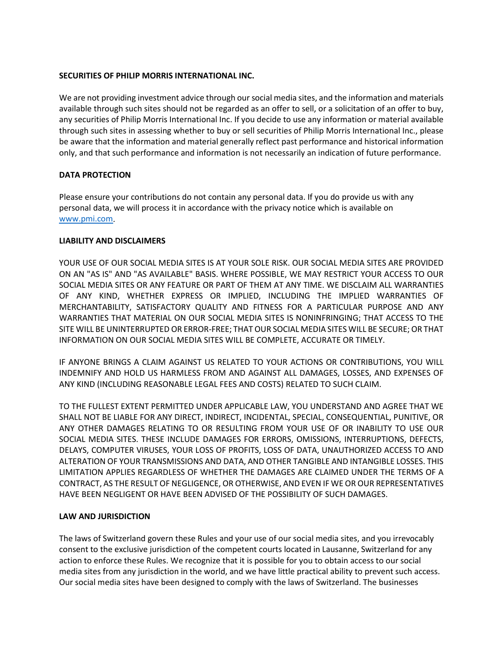### **SECURITIES OF PHILIP MORRIS INTERNATIONAL INC.**

We are not providing investment advice through our social media sites, and the information and materials available through such sites should not be regarded as an offer to sell, or a solicitation of an offer to buy, any securities of Philip Morris International Inc. If you decide to use any information or material available through such sites in assessing whether to buy or sell securities of Philip Morris International Inc., please be aware that the information and material generally reflect past performance and historical information only, and that such performance and information is not necessarily an indication of future performance.

### **DATA PROTECTION**

Please ensure your contributions do not contain any personal data. If you do provide us with any personal data, we will process it in accordance with the privacy notice which is available on [www.pmi.com.](http://www.pmi.com/)

# **LIABILITY AND DISCLAIMERS**

YOUR USE OF OUR SOCIAL MEDIA SITES IS AT YOUR SOLE RISK. OUR SOCIAL MEDIA SITES ARE PROVIDED ON AN "AS IS" AND "AS AVAILABLE" BASIS. WHERE POSSIBLE, WE MAY RESTRICT YOUR ACCESS TO OUR SOCIAL MEDIA SITES OR ANY FEATURE OR PART OF THEM AT ANY TIME. WE DISCLAIM ALL WARRANTIES OF ANY KIND, WHETHER EXPRESS OR IMPLIED, INCLUDING THE IMPLIED WARRANTIES OF MERCHANTABILITY, SATISFACTORY QUALITY AND FITNESS FOR A PARTICULAR PURPOSE AND ANY WARRANTIES THAT MATERIAL ON OUR SOCIAL MEDIA SITES IS NONINFRINGING; THAT ACCESS TO THE SITE WILL BE UNINTERRUPTED OR ERROR-FREE; THAT OUR SOCIAL MEDIA SITES WILL BE SECURE; OR THAT INFORMATION ON OUR SOCIAL MEDIA SITES WILL BE COMPLETE, ACCURATE OR TIMELY.

IF ANYONE BRINGS A CLAIM AGAINST US RELATED TO YOUR ACTIONS OR CONTRIBUTIONS, YOU WILL INDEMNIFY AND HOLD US HARMLESS FROM AND AGAINST ALL DAMAGES, LOSSES, AND EXPENSES OF ANY KIND (INCLUDING REASONABLE LEGAL FEES AND COSTS) RELATED TO SUCH CLAIM.

TO THE FULLEST EXTENT PERMITTED UNDER APPLICABLE LAW, YOU UNDERSTAND AND AGREE THAT WE SHALL NOT BE LIABLE FOR ANY DIRECT, INDIRECT, INCIDENTAL, SPECIAL, CONSEQUENTIAL, PUNITIVE, OR ANY OTHER DAMAGES RELATING TO OR RESULTING FROM YOUR USE OF OR INABILITY TO USE OUR SOCIAL MEDIA SITES. THESE INCLUDE DAMAGES FOR ERRORS, OMISSIONS, INTERRUPTIONS, DEFECTS, DELAYS, COMPUTER VIRUSES, YOUR LOSS OF PROFITS, LOSS OF DATA, UNAUTHORIZED ACCESS TO AND ALTERATION OF YOUR TRANSMISSIONS AND DATA, AND OTHER TANGIBLE AND INTANGIBLE LOSSES. THIS LIMITATION APPLIES REGARDLESS OF WHETHER THE DAMAGES ARE CLAIMED UNDER THE TERMS OF A CONTRACT, AS THE RESULT OF NEGLIGENCE, OR OTHERWISE, AND EVEN IF WE OR OUR REPRESENTATIVES HAVE BEEN NEGLIGENT OR HAVE BEEN ADVISED OF THE POSSIBILITY OF SUCH DAMAGES.

# **LAW AND JURISDICTION**

The laws of Switzerland govern these Rules and your use of our social media sites, and you irrevocably consent to the exclusive jurisdiction of the competent courts located in Lausanne, Switzerland for any action to enforce these Rules. We recognize that it is possible for you to obtain access to our social media sites from any jurisdiction in the world, and we have little practical ability to prevent such access. Our social media sites have been designed to comply with the laws of Switzerland. The businesses